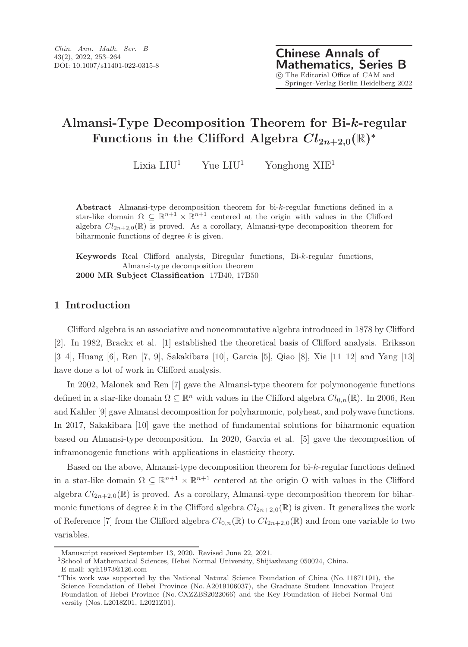# **Almansi-Type Decomposition Theorem for Bi-***k***-regular Functions in the Clifford Algebra**  $Cl_{2n+2,0}(\mathbb{R})^*$

Lixia  $LIU^1$  Yue  $LIU^1$  Yonghong  $XIE^1$ 

**Abstract** Almansi-type decomposition theorem for bi-*k*-regular functions defined in a star-like domain  $\Omega \subseteq \mathbb{R}^{n+1} \times \mathbb{R}^{n+1}$  centered at the origin with values in the Clifford algebra  $Cl_{2n+2,0}(\mathbb{R})$  is proved. As a corollary, Almansi-type decomposition theorem for biharmonic functions of degree *k* is given.

**Keywords** Real Clifford analysis, Biregular functions, Bi-*k*-regular functions, Almansi-type decomposition theorem **2000 MR Subject Classification** 17B40, 17B50

## **1 Introduction**

Clifford algebra is an associative and noncommutative algebra introduced in 1878 by Clifford [2]. In 1982, Brackx et al. [1] established the theoretical basis of Clifford analysis. Eriksson [3–4], Huang [6], Ren [7, 9], Sakakibara [10], Garcia [5], Qiao [8], Xie [11–12] and Yang [13] have done a lot of work in Clifford analysis.

In 2002, Malonek and Ren [7] gave the Almansi-type theorem for polymonogenic functions defined in a star-like domain  $\Omega \subseteq \mathbb{R}^n$  with values in the Clifford algebra  $Cl_{0,n}(\mathbb{R})$ . In 2006, Ren and Kahler [9] gave Almansi decomposition for polyharmonic, polyheat, and polywave functions. In 2017, Sakakibara [10] gave the method of fundamental solutions for biharmonic equation based on Almansi-type decomposition. In 2020, Garcia et al. [5] gave the decomposition of inframonogenic functions with applications in elasticity theory.

Based on the above, Almansi-type decomposition theorem for bi-k-regular functions defined in a star-like domain  $\Omega \subseteq \mathbb{R}^{n+1} \times \mathbb{R}^{n+1}$  centered at the origin O with values in the Clifford algebra  $Cl_{2n+2,0}(\mathbb{R})$  is proved. As a corollary, Almansi-type decomposition theorem for biharmonic functions of degree k in the Clifford algebra  $Cl_{2n+2,0}(\mathbb{R})$  is given. It generalizes the work of Reference [7] from the Clifford algebra  $Cl_{0,n}(\mathbb{R})$  to  $Cl_{2n+2,0}(\mathbb{R})$  and from one variable to two variables.

Manuscript received September 13, 2020. Revised June 22, 2021.

<sup>&</sup>lt;sup>1</sup>School of Mathematical Sciences, Hebei Normal University, Shijiazhuang 050024, China.

E-mail: xyh1973@126.com

<sup>∗</sup>This work was supported by the National Natural Science Foundation of China (No. 11871191), the Science Foundation of Hebei Province (No. A2019106037), the Graduate Student Innovation Project Foundation of Hebei Province (No. CXZZBS2022066) and the Key Foundation of Hebei Normal University (Nos. L2018Z01, L2021Z01).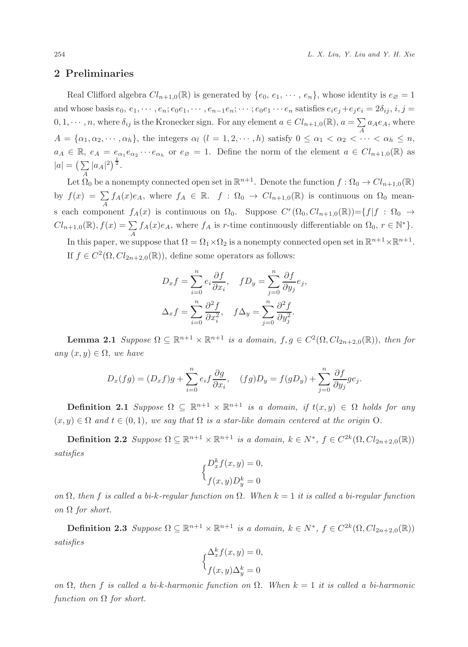### **2 Preliminaries**

Real Clifford algebra  $Cl_{n+1,0}(\mathbb{R})$  is generated by  $\{e_0, e_1, \dots, e_n\}$ , whose identity is  $e_{\emptyset} = 1$ and whose basis  $e_0, e_1, \dots, e_n; e_0e_1, \dots, e_{n-1}e_n; \dots; e_0e_1 \dots e_n$  satisfies  $e_ie_j+e_je_i=2\delta_{ij}, i,j=$  $0, 1, \dots, n$ , where  $\delta_{ij}$  is the Kronecker sign. For any element  $a \in Cl_{n+1,0}(\mathbb{R})$ ,  $a = \sum_{A}$  $\sum_{A} a_A e_A$ , where  $A = {\alpha_1, \alpha_2, \cdots, \alpha_h}$ , the integers  $\alpha_l$   $(l = 1, 2, \cdots, h)$  satisfy  $0 \leq \alpha_1 < \alpha_2 < \cdots < \alpha_h \leq n$ ,  $a_A \in \mathbb{R}, e_A = e_{\alpha_1} e_{\alpha_2} \cdots e_{\alpha_h}$  or  $e_{\emptyset} = 1$ . Define the norm of the element  $a \in Cl_{n+1,0}(\mathbb{R})$  as  $|a| = \left(\sum_{A} |a_A|^2\right)^{\frac{1}{2}}.$ 

Let  $\Omega_0$  be a nonempty connected open set in  $\mathbb{R}^{n+1}$ . Denote the function  $f : \Omega_0 \to Cl_{n+1,0}(\mathbb{R})$ by  $f(x) = \sum_A f_A(x)e_A$ , where  $f_A \in \mathbb{R}$ .  $f : \Omega_0 \to Cl_{n+1,0}(\mathbb{R})$  is continuous on  $\Omega_0$  means each component  $f_A(x)$  is continuous on  $\Omega_0$ . Suppose  $C^r(\Omega_0, Cl_{n+1,0}(\mathbb{R})) = \{f | f : \Omega_0 \to Cl_{n-1}(\mathbb{R}) \mid f(a) = \sum_{i=1}^n f(x_i)$  $Cl_{n+1,0}(\mathbb{R}), f(x) = \sum_{A}$  $\sum_{A} f_A(x)e_A$ , where  $f_A$  is r-time continuously differentiable on  $\Omega_0$ ,  $r \in \mathbb{N}^*$ . In this paper, we suppose that  $\Omega = \Omega_1 \times \Omega_2$  is a nonempty connected open set in  $\mathbb{R}^{n+1} \times \mathbb{R}^{n+1}$ . If  $f \in C^2(\Omega, Cl_{2n+2,0}(\mathbb{R}))$ , define some operators as follows:

$$
D_x f = \sum_{i=0}^n e_i \frac{\partial f}{\partial x_i}, \quad f D_y = \sum_{j=0}^n \frac{\partial f}{\partial y_j} e_j,
$$
  

$$
\Delta_x f = \sum_{i=0}^n \frac{\partial^2 f}{\partial x_i^2}, \quad f \Delta_y = \sum_{j=0}^n \frac{\partial^2 f}{\partial y_j^2}.
$$

**Lemma 2.1** *Suppose*  $\Omega \subseteq \mathbb{R}^{n+1} \times \mathbb{R}^{n+1}$  *is a domain,*  $f, g \in C^2(\Omega, Cl_{2n+2,0}(\mathbb{R}))$ *, then for*  $any(x, y) \in \Omega$ , *we have* 

$$
D_x(fg) = (D_x f)g + \sum_{i=0}^n e_i f \frac{\partial g}{\partial x_i}, \quad (fg)D_y = f(gD_y) + \sum_{j=0}^n \frac{\partial f}{\partial y_j} g e_j.
$$

**Definition 2.1** *Suppose*  $\Omega \subseteq \mathbb{R}^{n+1} \times \mathbb{R}^{n+1}$  *is a domain, if*  $t(x, y) \in \Omega$  *holds for any*  $(x, y) \in \Omega$  and  $t \in (0, 1)$ *, we say that*  $\Omega$  *is a star-like domain centered at the origin* O.

**Definition 2.2** *Suppose*  $\Omega \subseteq \mathbb{R}^{n+1} \times \mathbb{R}^{n+1}$  *is a domain,*  $k \in N^*$ ,  $f \in C^{2k}(\Omega, Cl_{2n+2,0}(\mathbb{R}))$ *satisfies*

$$
\begin{cases} D_x^k f(x, y) = 0, \\ f(x, y) D_y^k = 0 \end{cases}
$$

*on* <sup>Ω</sup>*, then* f *is called a bi-*k*-regular function on* <sup>Ω</sup>*. When* k = 1 *it is called a bi-regular function on* Ω *for short.*

**Definition 2.3** *Suppose*  $\Omega \subseteq \mathbb{R}^{n+1} \times \mathbb{R}^{n+1}$  *is a domain,*  $k \in N^*$ ,  $f \in C^{2k}(\Omega, Cl_{2n+2,0}(\mathbb{R}))$ *satisfies*

$$
\begin{cases} \Delta_x^k f(x, y) = 0, \\ f(x, y) \Delta_y^k = 0 \end{cases}
$$

*on* <sup>Ω</sup>*, then* f *is called a bi-*k*-harmonic function on* <sup>Ω</sup>*. When* k = 1 *it is called a bi-harmonic*  $function$  *on*  $\Omega$  *for short.*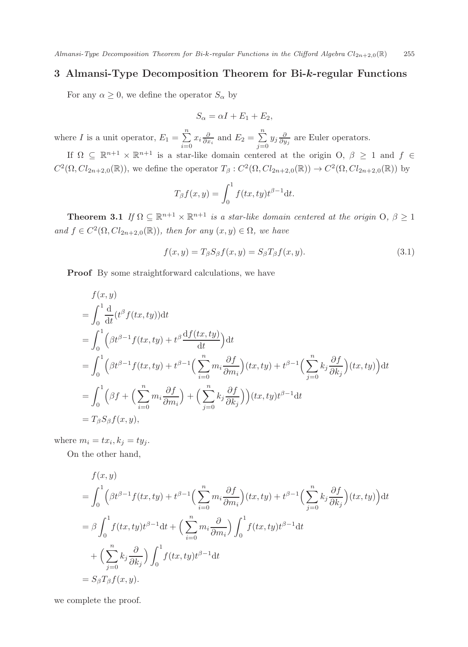Almansi-Type Decomposition Theorem for Bi-k-regular Functions in the Clifford Algebra  $Cl_{2n+2,0}(\mathbb{R})$  255

## **3 Almansi-Type Decomposition Theorem for Bi-***k***-regular Functions**

For any  $\alpha \geq 0$ , we define the operator  $S_{\alpha}$  by

$$
S_{\alpha} = \alpha I + E_1 + E_2,
$$

where *I* is a unit operator,  $E_1 = \sum_{i=0}^{n}$  $\sum_{i=0}^{n} x_i \frac{\partial}{\partial x_i}$  and  $E_2 = \sum_{j=0}^{n}$  $\sum_{j=0} y_j \frac{\partial}{\partial y_j}$  are Euler operators.

If  $\Omega \subseteq \mathbb{R}^{n+1} \times \mathbb{R}^{n+1}$  is a star-like domain centered at the origin  $O, \beta \geq 1$  and  $f \in$  $C^2(\Omega, Cl_{2n+2,0}(\mathbb{R}))$ , we define the operator  $T_\beta: C^2(\Omega, Cl_{2n+2,0}(\mathbb{R})) \to C^2(\Omega, Cl_{2n+2,0}(\mathbb{R}))$  by

$$
T_{\beta}f(x,y) = \int_0^1 f(tx, ty)t^{\beta - 1} dt.
$$

**Theorem 3.1** *If*  $\Omega \subseteq \mathbb{R}^{n+1} \times \mathbb{R}^{n+1}$  *is a star-like domain centered at the origin*  $O, \beta \geq 1$ *and*  $f \in C^2(\Omega, Cl_{2n+2,0}(\mathbb{R}))$ *, then for any*  $(x, y) \in \Omega$ *, we have* 

$$
f(x,y) = T_{\beta} S_{\beta} f(x,y) = S_{\beta} T_{\beta} f(x,y).
$$
\n(3.1)

**Proof** By some straightforward calculations, we have

$$
f(x,y)
$$
  
=  $\int_0^1 \frac{d}{dt} (t^{\beta} f(tx, ty)) dt$   
=  $\int_0^1 (\beta t^{\beta-1} f(tx, ty) + t^{\beta} \frac{df(tx, ty)}{dt}) dt$   
=  $\int_0^1 (\beta t^{\beta-1} f(tx, ty) + t^{\beta-1} (\sum_{i=0}^n m_i \frac{\partial f}{\partial m_i}) (tx, ty) + t^{\beta-1} (\sum_{j=0}^n k_j \frac{\partial f}{\partial k_j}) (tx, ty)) dt$   
=  $\int_0^1 (\beta f + (\sum_{i=0}^n m_i \frac{\partial f}{\partial m_i}) + (\sum_{j=0}^n k_j \frac{\partial f}{\partial k_j}) (tx, ty) t^{\beta-1} dt$   
=  $T_{\beta} S_{\beta} f(x, y),$ 

where  $m_i = tx_i, k_j = ty_j$ .

On the other hand,

$$
f(x, y)
$$
  
=  $\int_0^1 (\beta t^{\beta - 1} f(tx, ty) + t^{\beta - 1} \left( \sum_{i=0}^n m_i \frac{\partial f}{\partial m_i} \right) (tx, ty) + t^{\beta - 1} \left( \sum_{j=0}^n k_j \frac{\partial f}{\partial k_j} \right) (tx, ty) \, dt$   
=  $\beta \int_0^1 f(tx, ty) t^{\beta - 1} dt + \left( \sum_{i=0}^n m_i \frac{\partial}{\partial m_i} \right) \int_0^1 f(tx, ty) t^{\beta - 1} dt$   
+  $\left( \sum_{j=0}^n k_j \frac{\partial}{\partial k_j} \right) \int_0^1 f(tx, ty) t^{\beta - 1} dt$   
=  $S_\beta T_\beta f(x, y).$ 

we complete the proof.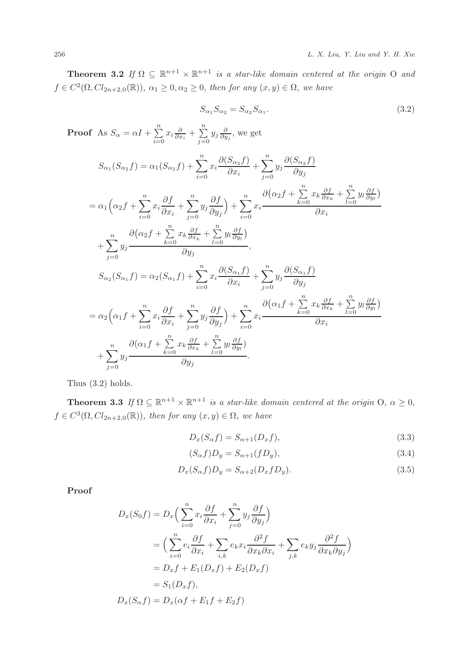**Theorem 3.2** *If*  $\Omega \subseteq \mathbb{R}^{n+1} \times \mathbb{R}^{n+1}$  *is a star-like domain centered at the origin* O *and*  $f \in C^2(\Omega, Cl_{2n+2,0}(\mathbb{R}))$ ,  $\alpha_1 \geq 0, \alpha_2 \geq 0$ , then for any  $(x, y) \in \Omega$ , we have

$$
S_{\alpha_1} S_{\alpha_2} = S_{\alpha_2} S_{\alpha_1}.
$$
\n
$$
(3.2)
$$

**Proof** As  $S_{\alpha} = \alpha I + \sum_{i=0}^{n}$  $\sum_{i=0}^n x_i \frac{\partial}{\partial x_i} + \sum_{j=0}^n$  $\sum_{j=0} y_j \frac{\partial}{\partial y_j}$ , we get  $S_{\alpha_1}(S_{\alpha_2}f) = \alpha_1(S_{\alpha_2}f) + \sum_{i=0}^n x_i \frac{\partial(S_{\alpha_2}f)}{\partial x_i}$  $\overline{ox}_i$  $+\sum_{1}^{n}$  $\sum_{j=0}^{n} y_j \frac{\partial (S_{\alpha_2}f)}{\partial y_j}$  $\sigma$ y $_j$  $= \alpha_1 \left( \alpha_2 f + \sum_{i=0}^n x_i \frac{\partial f}{\partial x_i} \right)$  $Qx_i$  $+\sum_{1}^{n}$  $\sum_{j=0} y_j \frac{y_j}{\partial y_j}$  $\sigma y_j$  $+\sum_{1}^{n}$  $\sum_{i=0} x_i$  $\left(\alpha_2 f + \sum_{k=0}^n\right)$  $\sum_{k=0}^n x_k \frac{\partial f}{\partial x_k} + \sum_{l=0}^n$  $\sum_{l=0} y_l \frac{\partial f}{\partial y_l}$  $\overline{ox}_i$  $+\sum_{1}^{n}$  $\sum_{j=0} y_j$  $\left(\alpha_2 f + \sum_{k=0}^n\right)$  $\sum_{k=0}^n x_k \frac{\partial f}{\partial x_k} + \sum_{l=0}^n$  $\sum_{l=0} y_l \frac{\partial f}{\partial y_l}$  $\partial y_j$  $S_{\alpha_2}(S_{\alpha_1}f) = \alpha_2(S_{\alpha_1}f) + \sum_{i=0}^{n} x_i \frac{\partial(S_{\alpha_1}f)}{\partial x_i}$  $\overline{ox}_i$  $+\sum_{1}^{n}$  $\sum_{j=0}^{n} y_j \frac{\partial (S_{\alpha_1}f)}{\partial y_j}$  $\sigma$ y $_j$  $= \alpha_2 \left(\alpha_1 f + \sum_{i=0}^n x_i \frac{\partial f}{\partial x_i}\right)$  $Q_i$  $+\sum_{1}^{n}$  $\sum_{j=0} y_j \frac{y_j}{\partial y_j}$ ∂y<sup>j</sup>  $+\sum_{1}^{n}$  $\sum_{i=0} x_i$ ∂  $\left(\alpha_1 f + \sum_{k=0}^n \right)$  $\sum_{k=0}^n x_k \frac{\partial f}{\partial x_k} + \sum_{l=0}^n$  $\sum_{l=0} y_l \frac{\partial f}{\partial y_l}$  $Ox_i$  $+\sum_{i=0}^n y_i$  $j=0$  $\partial(\alpha_1 f + \sum_{k=0}^n$  $\sum_{k=0}^n x_k \frac{\partial f}{\partial x_k} + \sum_{l=0}^n$  $\sum_{l=0} y_l \frac{\partial f}{\partial y_l}$  $\partial y_j$ 

Thus (3.2) holds.

**Theorem 3.3** *If*  $\Omega \subseteq \mathbb{R}^{n+1} \times \mathbb{R}^{n+1}$  *is a star-like domain centered at the origin* O,  $\alpha \geq 0$ ,  $f \in C^3(\Omega, Cl_{2n+2,0}(\mathbb{R}))$ *, then for any*  $(x, y) \in \Omega$ *, we have* 

$$
D_x(S_\alpha f) = S_{\alpha+1}(D_x f),\tag{3.3}
$$

$$
(S_{\alpha}f)D_y = S_{\alpha+1}(fD_y),\tag{3.4}
$$

$$
D_x(S_\alpha f)D_y = S_{\alpha+2}(D_x f D_y). \tag{3.5}
$$

**Proof**

$$
D_x(S_0 f) = D_x \Big( \sum_{i=0}^n x_i \frac{\partial f}{\partial x_i} + \sum_{j=0}^n y_j \frac{\partial f}{\partial y_j} \Big)
$$
  
= 
$$
\Big( \sum_{i=0}^n e_i \frac{\partial f}{\partial x_i} + \sum_{i,k} e_k x_i \frac{\partial^2 f}{\partial x_k \partial x_i} + \sum_{j,k} e_k y_j \frac{\partial^2 f}{\partial x_k \partial y_j} \Big)
$$
  
= 
$$
D_x f + E_1(D_x f) + E_2(D_x f)
$$
  
= 
$$
S_1(D_x f),
$$
  

$$
D_x(S_\alpha f) = D_x(\alpha f + E_1 f + E_2 f)
$$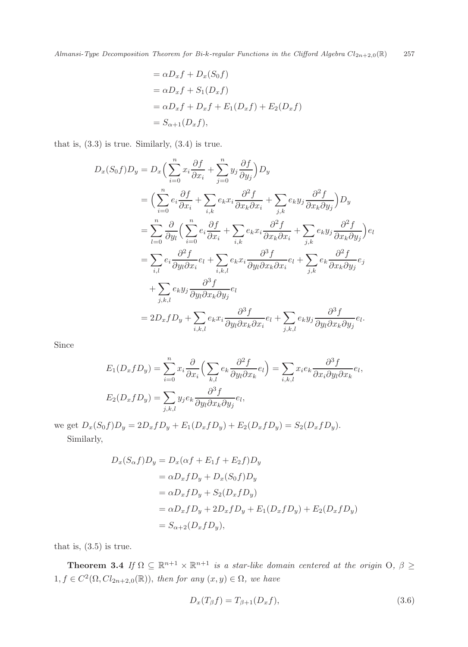$$
= \alpha D_x f + D_x(S_0 f)
$$
  
=  $\alpha D_x f + S_1(D_x f)$   
=  $\alpha D_x f + D_x f + E_1(D_x f) + E_2(D_x f)$   
=  $S_{\alpha+1}(D_x f)$ ,

that is,  $(3.3)$  is true. Similarly,  $(3.4)$  is true.

$$
D_x(S_0f)D_y = D_x\left(\sum_{i=0}^n x_i\frac{\partial f}{\partial x_i} + \sum_{j=0}^n y_j\frac{\partial f}{\partial y_j}\right)D_y
$$
  
\n
$$
= \left(\sum_{i=0}^n e_i\frac{\partial f}{\partial x_i} + \sum_{i,k} e_k x_i\frac{\partial^2 f}{\partial x_k \partial x_i} + \sum_{j,k} e_k y_j\frac{\partial^2 f}{\partial x_k \partial y_j}\right)D_y
$$
  
\n
$$
= \sum_{l=0}^n \frac{\partial}{\partial y_l} \left(\sum_{i=0}^n e_i\frac{\partial f}{\partial x_i} + \sum_{i,k} e_k x_i\frac{\partial^2 f}{\partial x_k \partial x_i} + \sum_{j,k} e_k y_j\frac{\partial^2 f}{\partial x_k \partial y_j}\right)e_l
$$
  
\n
$$
= \sum_{i,l} e_i\frac{\partial^2 f}{\partial y_l \partial x_i}e_l + \sum_{i,k,l} e_k x_i\frac{\partial^3 f}{\partial y_l \partial x_k \partial x_i}e_l + \sum_{j,k} e_k\frac{\partial^2 f}{\partial x_k \partial y_j}e_j
$$
  
\n
$$
+ \sum_{j,k,l} e_k y_j\frac{\partial^3 f}{\partial y_l \partial x_k \partial y_j}e_l
$$
  
\n
$$
= 2D_x f D_y + \sum_{i,k,l} e_k x_i\frac{\partial^3 f}{\partial y_l \partial x_k \partial x_i}e_l + \sum_{j,k,l} e_k y_j\frac{\partial^3 f}{\partial y_l \partial x_k \partial y_j}e_l.
$$

Since

$$
E_1(D_x f D_y) = \sum_{i=0}^n x_i \frac{\partial}{\partial x_i} \left( \sum_{k,l} e_k \frac{\partial^2 f}{\partial y_l \partial x_k} e_l \right) = \sum_{i,k,l} x_i e_k \frac{\partial^3 f}{\partial x_i \partial y_l \partial x_k} e_l,
$$
  

$$
E_2(D_x f D_y) = \sum_{j,k,l} y_j e_k \frac{\partial^3 f}{\partial y_l \partial x_k \partial y_j} e_l,
$$

we get  $D_x(S_0f)D_y = 2D_xfD_y + E_1(D_xfD_y) + E_2(D_xfD_y) = S_2(D_xfD_y)$ .<br>Similarly,

$$
_{\rm 51211111111111}
$$

$$
D_x(S_{\alpha}f)D_y = D_x(\alpha f + E_1f + E_2f)D_y
$$
  
=  $\alpha D_xfD_y + D_x(S_0f)D_y$   
=  $\alpha D_xfD_y + S_2(D_xfD_y)$   
=  $\alpha D_xfD_y + 2D_xfD_y + E_1(D_xfD_y) + E_2(D_xfD_y)$   
=  $S_{\alpha+2}(D_xfD_y),$ 

that is,  $(3.5)$  is true.

**Theorem 3.4** *If*  $\Omega \subseteq \mathbb{R}^{n+1} \times \mathbb{R}^{n+1}$  *is a star-like domain centered at the origin*  $\Omega$ ,  $\beta \geq$  $1, f \in C^2(\Omega, Cl_{2n+2,0}(\mathbb{R}))$ , *then for any*  $(x, y) \in \Omega$ , we have

$$
D_x(T_\beta f) = T_{\beta+1}(D_x f),\tag{3.6}
$$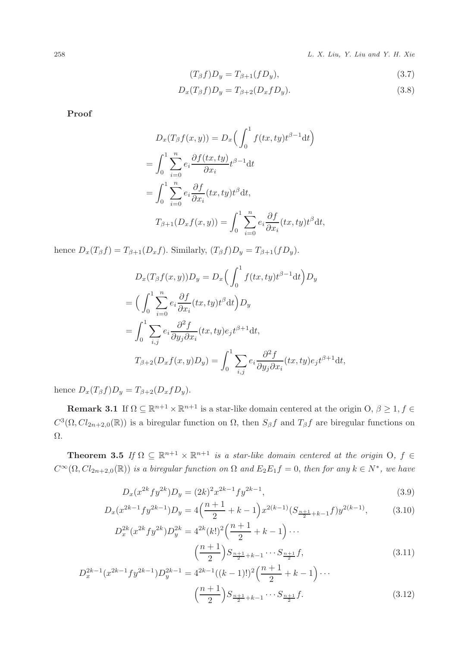258 L. X. Liu, Y. Liu and Y. H. Xie

$$
(T_{\beta}f)D_y = T_{\beta+1}(fD_y),\tag{3.7}
$$

$$
D_x(T_\beta f)D_y = T_{\beta+2}(D_x f D_y).
$$
\n(3.8)

**Proof**

$$
D_x(T_\beta f(x, y)) = D_x\left(\int_0^1 f(tx, ty)t^{\beta - 1}dt\right)
$$
  
= 
$$
\int_0^1 \sum_{i=0}^n e_i \frac{\partial f(tx, ty)}{\partial x_i} t^{\beta - 1}dt
$$
  
= 
$$
\int_0^1 \sum_{i=0}^n e_i \frac{\partial f}{\partial x_i}(tx, ty)t^\beta dt,
$$
  

$$
T_{\beta + 1}(D_x f(x, y)) = \int_0^1 \sum_{i=0}^n e_i \frac{\partial f}{\partial x_i}(tx, ty)t^\beta dt,
$$

hence  $D_x(T_\beta f) = T_{\beta+1}(D_x f)$ . Similarly,  $(T_\beta f)D_y = T_{\beta+1}(fD_y)$ .

$$
D_x(T_\beta f(x, y))D_y = D_x\left(\int_0^1 f(tx, ty)t^{\beta - 1}dt\right)D_y
$$
  
= 
$$
\left(\int_0^1 \sum_{i=0}^n e_i \frac{\partial f}{\partial x_i}(tx, ty)t^\beta dt\right)D_y
$$
  
= 
$$
\int_0^1 \sum_{i,j} e_i \frac{\partial^2 f}{\partial y_j \partial x_i}(tx, ty)e_j t^{\beta + 1}dt,
$$
  

$$
T_{\beta + 2}(D_x f(x, y)D_y) = \int_0^1 \sum_{i,j} e_i \frac{\partial^2 f}{\partial y_j \partial x_i}(tx, ty)e_j t^{\beta + 1}dt,
$$

hence  $D_x(T_\beta f)D_y = T_{\beta+2}(D_x f D_y)$ .

**Remark 3.1** If  $\Omega \subseteq \mathbb{R}^{n+1} \times \mathbb{R}^{n+1}$  is a star-like domain centered at the origin  $\Omega$ ,  $\beta \geq 1$ ,  $f \in$  $C^3(\Omega, Cl_{2n+2,0}(\mathbb{R}))$  is a biregular function on  $\Omega$ , then  $S_\beta f$  and  $T_\beta f$  are biregular functions on Ω.

**Theorem 3.5** *If*  $\Omega \subseteq \mathbb{R}^{n+1} \times \mathbb{R}^{n+1}$  *is a star-like domain centered at the origin* O,  $f \in$  $C^{\infty}(\Omega, Cl_{2n+2,0}(\mathbb{R}))$  *is a biregular function on*  $\Omega$  *and*  $E_2E_1f = 0$ *, then for any*  $k \in N^*$ *, we have* 

$$
D_x(x^{2k} f y^{2k}) D_y = (2k)^2 x^{2k-1} f y^{2k-1},\tag{3.9}
$$

$$
D_x(x^{2k-1}f y^{2k-1})D_y = 4\left(\frac{n+1}{2} + k - 1\right)x^{2(k-1)}(S_{\frac{n+1}{2}+k-1}f)y^{2(k-1)},\tag{3.10}
$$

$$
D_x^{2k}(x^{2k}fy^{2k})D_y^{2k} = 4^{2k}(k!)^2\left(\frac{n+1}{2} + k - 1\right)\cdots
$$

$$
\left(\frac{n+1}{2}\right)S_{\frac{n+1}{2}+k-1}\cdots S_{\frac{n+1}{2}}f,
$$
(3.11)

$$
D_x^{2k-1}(x^{2k-1}fy^{2k-1})D_y^{2k-1} = 4^{2k-1}((k-1)!)^2\left(\frac{n+1}{2}+k-1\right)\cdots
$$

$$
\left(\frac{n+1}{2}\right)S_{\frac{n+1}{2}+k-1}\cdots S_{\frac{n+1}{2}}f.
$$
(3.12)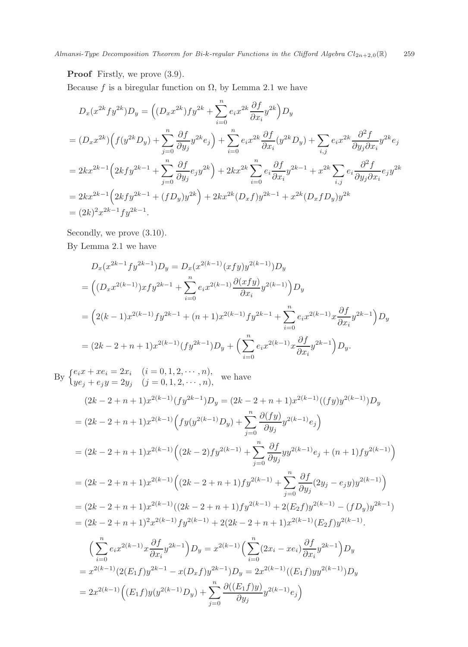**Proof** Firstly, we prove (3.9).

Because f is a biregular function on  $\Omega$ , by Lemma 2.1 we have

$$
D_x(x^{2k}fy^{2k})D_y = ((D_x x^{2k})fy^{2k} + \sum_{i=0}^n e_i x^{2k} \frac{\partial f}{\partial x_i} y^{2k})D_y
$$
  
\n
$$
= (D_x x^{2k}) \Big( f(y^{2k} D_y) + \sum_{j=0}^n \frac{\partial f}{\partial y_j} y^{2k} e_j \Big) + \sum_{i=0}^n e_i x^{2k} \frac{\partial f}{\partial x_i} (y^{2k} D_y) + \sum_{i,j} e_i x^{2k} \frac{\partial^2 f}{\partial y_j \partial x_i} y^{2k} e_j
$$
  
\n
$$
= 2kx^{2k-1} \Big( 2kfy^{2k-1} + \sum_{j=0}^n \frac{\partial f}{\partial y_j} e_j y^{2k} \Big) + 2kx^{2k} \sum_{i=0}^n e_i \frac{\partial f}{\partial x_i} y^{2k-1} + x^{2k} \sum_{i,j} e_i \frac{\partial^2 f}{\partial y_j \partial x_i} e_j y^{2k}
$$
  
\n
$$
= 2kx^{2k-1} \Big( 2kfy^{2k-1} + (fD_y)y^{2k} \Big) + 2kx^{2k} (D_x f)y^{2k-1} + x^{2k} (D_x f D_y) y^{2k}
$$
  
\n
$$
= (2k)^2 x^{2k-1} fy^{2k-1}.
$$

Secondly, we prove (3.10).

By Lemma 2.1 we have

$$
D_x(x^{2k-1}fy^{2k-1})D_y = D_x(x^{2(k-1)}(xfy)y^{2(k-1)})D_y
$$
  
= 
$$
\left((D_xx^{2(k-1)})xfy^{2k-1} + \sum_{i=0}^n e_ix^{2(k-1)}\frac{\partial(xfy)}{\partial x_i}y^{2(k-1)}\right)D_y
$$
  
= 
$$
\left(2(k-1)x^{2(k-1)}fy^{2k-1} + (n+1)x^{2(k-1)}fy^{2k-1} + \sum_{i=0}^n e_ix^{2(k-1)}x\frac{\partial f}{\partial x_i}y^{2k-1}\right)D_y
$$
  
= 
$$
(2k-2+n+1)x^{2(k-1)}(fy^{2k-1})D_y + \left(\sum_{i=0}^n e_ix^{2(k-1)}x\frac{\partial f}{\partial x_i}y^{2k-1}\right)D_y.
$$

By  $\begin{cases} e_i x + x e_i = 2x_i & (i = 0, 1, 2, \dots, n), \\ ye_j + e_j y = 2y_j & (j = 0, 1, 2, \dots, n), \end{cases}$  we have

$$
(2k - 2 + n + 1)x^{2(k-1)}(fy^{2k-1})D_y = (2k - 2 + n + 1)x^{2(k-1)}((fy)y^{2(k-1)})D_y
$$
  
\n
$$
= (2k - 2 + n + 1)x^{2(k-1)}\Big(fy(y^{2(k-1)}D_y) + \sum_{j=0}^n \frac{\partial(fy)}{\partial y_j}y^{2(k-1)}e_j\Big)
$$
  
\n
$$
= (2k - 2 + n + 1)x^{2(k-1)}\Big((2k - 2)fy^{2(k-1)} + \sum_{j=0}^n \frac{\partial f}{\partial y_j}yy^{2(k-1)}e_j + (n + 1)fy^{2(k-1)}\Big)
$$
  
\n
$$
= (2k - 2 + n + 1)x^{2(k-1)}\Big((2k - 2 + n + 1)fy^{2(k-1)} + \sum_{j=0}^n \frac{\partial f}{\partial y_j}(2y_j - e_jy)y^{2(k-1)}\Big)
$$
  
\n
$$
= (2k - 2 + n + 1)x^{2(k-1)}((2k - 2 + n + 1)fy^{2(k-1)} + 2(E_2f)y^{2(k-1)} - (fD_y)y^{2k-1})
$$
  
\n
$$
= (2k - 2 + n + 1)^2x^{2(k-1)}fy^{2(k-1)} + 2(2k - 2 + n + 1)x^{2(k-1)}(E_2f)y^{2(k-1)}.
$$
  
\n
$$
\Big(\sum_{i=0}^n e_ix^{2(k-1)}x\frac{\partial f}{\partial x_i}y^{2k-1}\Big)D_y = x^{2(k-1)}\Big(\sum_{i=0}^n(2x_i - xe_i)\frac{\partial f}{\partial x_i}y^{2k-1}\Big)D_y
$$
  
\n
$$
= x^{2(k-1)}(2(E_1f)y^{2k-1} - x(D_xf)y^{2k-1})D_y = 2x^{2(k-1)}((E_1f)yy^{2(k-1)})D_y
$$
  
\n
$$
= 2x^{2(k-1)}\Big((E_1f)y(y^{2(k-1)})D_y) + \sum_{j=0}^n \frac{\partial((E_1f)y)}{\partial y_j}y^{2(k-1)}e_j\Big)
$$

 $\frac{\partial ((E_1 f)y)}{\partial y}$ 

 $rac{E_1 f(y)}{\partial y_j} y^{2(k-1)} e_j$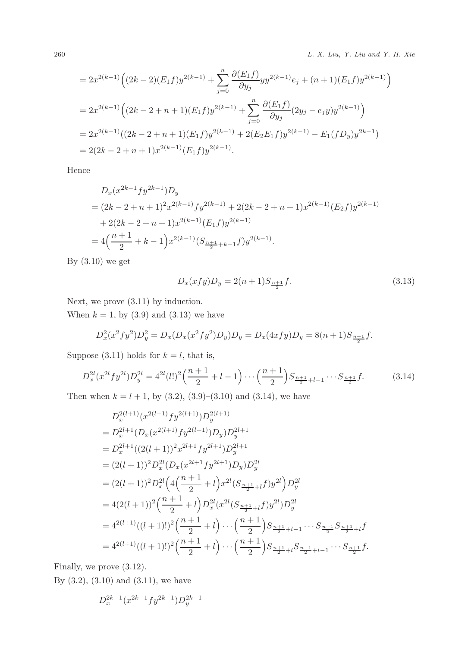260 L. X. Liu, Y. Liu and Y. H. Xie

$$
= 2x^{2(k-1)} \Big( (2k-2)(E_1f)y^{2(k-1)} + \sum_{j=0}^n \frac{\partial (E_1f)}{\partial y_j} yy^{2(k-1)} e_j + (n+1)(E_1f)y^{2(k-1)} \Big)
$$
  
=  $2x^{2(k-1)} \Big( (2k-2+n+1)(E_1f)y^{2(k-1)} + \sum_{j=0}^n \frac{\partial (E_1f)}{\partial y_j} (2y_j - e_jy)y^{2(k-1)} \Big)$   
=  $2x^{2(k-1)}((2k-2+n+1)(E_1f)y^{2(k-1)} + 2(E_2E_1f)y^{2(k-1)} - E_1(fD_y)y^{2k-1})$   
=  $2(2k-2+n+1)x^{2(k-1)} (E_1f)y^{2(k-1)}.$ 

Hence

$$
D_x(x^{2k-1}fy^{2k-1})D_y
$$
  
=  $(2k - 2 + n + 1)^2x^{2(k-1)}fy^{2(k-1)} + 2(2k - 2 + n + 1)x^{2(k-1)}(E_2f)y^{2(k-1)}$   
+  $2(2k - 2 + n + 1)x^{2(k-1)}(E_1f)y^{2(k-1)}$   
=  $4\left(\frac{n+1}{2} + k - 1\right)x^{2(k-1)}(S_{\frac{n+1}{2}+k-1}f)y^{2(k-1)}$ .

By (3.10) we get

$$
D_x(xfy)D_y = 2(n+1)S_{\frac{n+1}{2}}f.
$$
\n(3.13)

Next, we prove (3.11) by induction.

When  $k = 1$ , by  $(3.9)$  and  $(3.13)$  we have

$$
D_x^2(x^2fy^2)D_y^2 = D_x(D_x(x^2fy^2)D_y)D_y = D_x(4xfy)D_y = 8(n+1)S_{\frac{n+1}{2}}f.
$$

Suppose (3.11) holds for  $k = l$ , that is,

$$
D_x^{2l}(x^{2l}fy^{2l})D_y^{2l} = 4^{2l}(l!)^2\left(\frac{n+1}{2}+l-1\right)\cdots\left(\frac{n+1}{2}\right)S_{\frac{n+1}{2}+l-1}\cdots S_{\frac{n+1}{2}}f. \tag{3.14}
$$

Then when  $k = l + 1$ , by (3.2), (3.9)–(3.10) and (3.14), we have

$$
D_x^{2(l+1)}(x^{2(l+1)}f y^{2(l+1)})D_y^{2(l+1)}
$$
  
=  $D_x^{2l+1}(D_x(x^{2(l+1)}f y^{2(l+1)})D_y)D_y^{2l+1}$   
=  $D_x^{2l+1}((2(l+1))^2x^{2l+1}f y^{2l+1})D_y^{2l+1}$   
=  $(2(l+1))^2D_x^{2l}(D_x(x^{2l+1}f y^{2l+1})D_y)D_y^{2l}$   
=  $(2(l+1))^2D_x^{2l}(4(\frac{n+1}{2}+l)x^{2l}(S_{\frac{n+1}{2}+l}f)y^{2l})D_y^{2l}$   
=  $4(2(l+1))^2(\frac{n+1}{2}+l)D_x^{2l}(x^{2l}(S_{\frac{n+1}{2}+l}f)y^{2l})D_y^{2l}$   
=  $4^{2(l+1)}((l+1)!)^2(\frac{n+1}{2}+l)\cdots(\frac{n+1}{2})S_{\frac{n+1}{2}+l-1}\cdots S_{\frac{n+1}{2}}S_{\frac{n+1}{2}+l}f$   
=  $4^{2(l+1)}((l+1)!)^2(\frac{n+1}{2}+l)\cdots(\frac{n+1}{2})S_{\frac{n+1}{2}+l}S_{\frac{n+1}{2}+l-1}\cdots S_{\frac{n+1}{2}}f.$ 

Finally, we prove (3.12).

By (3.2), (3.10) and (3.11), we have

$$
D_x^{2k-1}(x^{2k-1}f y^{2k-1})D_y^{2k-1}
$$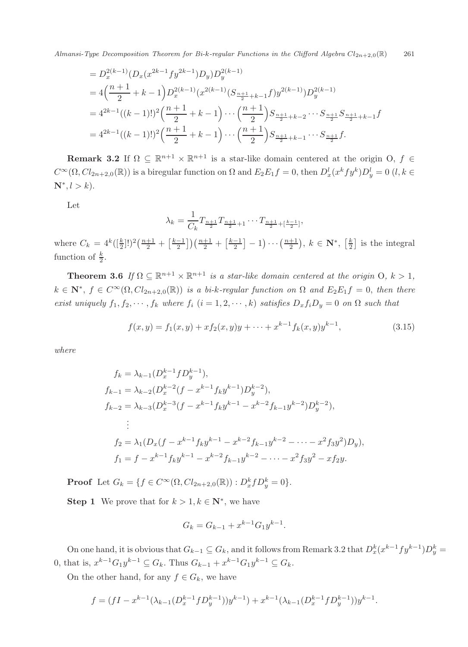Almansi-Type Decomposition Theorem for Bi-k-regular Functions in the Clifford Algebra  $Cl_{2n+2,0}(\mathbb{R})$  261

$$
= D_x^{2(k-1)}(D_x(x^{2k-1}f y^{2k-1})D_y)D_y^{2(k-1)}
$$
  
=  $4\left(\frac{n+1}{2} + k - 1\right)D_x^{2(k-1)}(x^{2(k-1)}(S_{\frac{n+1}{2}+k-1}f)y^{2(k-1)})D_y^{2(k-1)}$   
=  $4^{2k-1}((k-1)!)^2\left(\frac{n+1}{2} + k - 1\right) \cdots \left(\frac{n+1}{2}\right)S_{\frac{n+1}{2}+k-2} \cdots S_{\frac{n+1}{2}}S_{\frac{n+1}{2}+k-1}f$   
=  $4^{2k-1}((k-1)!)^2\left(\frac{n+1}{2} + k - 1\right) \cdots \left(\frac{n+1}{2}\right)S_{\frac{n+1}{2}+k-1} \cdots S_{\frac{n+1}{2}}f.$ 

**Remark 3.2** If  $\Omega \subset \mathbb{R}^{n+1} \times \mathbb{R}^{n+1}$  is a star-like domain centered at the origin O,  $f \in$  $C^{\infty}(\Omega, Cl_{2n+2,0}(\mathbb{R}))$  is a biregular function on  $\Omega$  and  $E_2E_1f = 0$ , then  $D_x^l(x^kfy^k)D_y^l = 0$   $(l, k \in \mathbb{N}^*$  $N^*, l > k$ ).

Let

$$
\lambda_k = \frac{1}{C_k} T_{\frac{n+1}{2}} T_{\frac{n+1}{2}+1} \cdots T_{\frac{n+1}{2} + \left[\frac{k-1}{2}\right]},
$$

where  $C_k = 4^k (\frac{k}{2}!)^2 (\frac{n+1}{2} + \frac{k-1}{2}) (\frac{n+1}{2} + \frac{k-1}{2} - 1) \cdots (\frac{n+1}{2}), k \in \mathbb{N}^*, \left[\frac{k}{2}\right]$  is the integral function of  $\frac{k}{2}$ .

**Theorem 3.6** *If*  $\Omega \subseteq \mathbb{R}^{n+1} \times \mathbb{R}^{n+1}$  *is a star-like domain centered at the origin* O,  $k > 1$ ,  $k \in \mathbb{N}^*, f \in C^{\infty}(\Omega, Cl_{2n+2,0}(\mathbb{R}))$  *is a bi-k-regular function on*  $\Omega$  *and*  $E_2E_1f = 0$ *, then there exist uniquely*  $f_1, f_2, \dots, f_k$  *where*  $f_i$  ( $i = 1, 2, \dots, k$ ) *satisfies*  $D_x f_i D_y = 0$  *on*  $\Omega$  *such that* 

$$
f(x,y) = f_1(x,y) + x f_2(x,y)y + \dots + x^{k-1} f_k(x,y)y^{k-1},
$$
\n(3.15)

*where*

$$
f_k = \lambda_{k-1} (D_x^{k-1} f D_y^{k-1}),
$$
  
\n
$$
f_{k-1} = \lambda_{k-2} (D_x^{k-2} (f - x^{k-1} f_k y^{k-1}) D_y^{k-2}),
$$
  
\n
$$
f_{k-2} = \lambda_{k-3} (D_x^{k-3} (f - x^{k-1} f_k y^{k-1} - x^{k-2} f_{k-1} y^{k-2}) D_y^{k-2}),
$$
  
\n
$$
\vdots
$$
  
\n
$$
f_2 = \lambda_1 (D_x (f - x^{k-1} f_k y^{k-1} - x^{k-2} f_{k-1} y^{k-2} - \dots - x^2 f_3 y^2) D_y),
$$
  
\n
$$
f_1 = f - x^{k-1} f_k y^{k-1} - x^{k-2} f_{k-1} y^{k-2} - \dots - x^2 f_3 y^2 - x f_2 y.
$$

**Proof** Let  $G_k = \{ f \in C^{\infty}(\Omega, Cl_{2n+2,0}(\mathbb{R})) : D_x^k f D_y^k = 0 \}.$ 

**Step 1** We prove that for  $k > 1, k \in \mathbb{N}^*$ , we have

$$
G_k = G_{k-1} + x^{k-1} G_1 y^{k-1}.
$$

On one hand, it is obvious that  $G_{k-1} \subseteq G_k$ , and it follows from Remark 3.2 that  $D_x^k(x^{k-1}fy^{k-1})D_y^k =$ 0, that is,  $x^{k-1}G_1y^{k-1} \nsubseteq G_k$ . Thus  $G_{k-1} + x^{k-1}G_1y^{k-1} \nsubseteq G_k$ .

On the other hand, for any  $f \in G_k$ , we have

$$
f = (fI - x^{k-1}(\lambda_{k-1}(D_x^{k-1}fD_y^{k-1}))y^{k-1}) + x^{k-1}(\lambda_{k-1}(D_x^{k-1}fD_y^{k-1}))y^{k-1}.
$$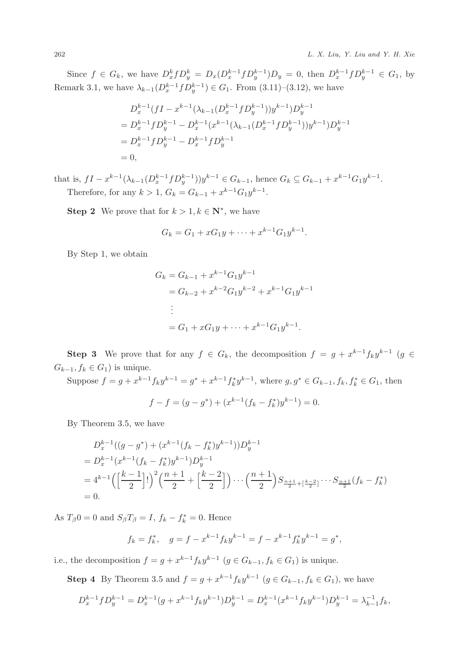Since  $f \in G_k$ , we have  $D_x^k f D_y^k = D_x (D_x^{k-1} f D_y^{k-1}) D_y = 0$ , then  $D_x^{k-1} f D_y^{k-1} \in G_1$ , by Remark 3.1, we have  $\lambda_{k-1}(D_x^{k-1}f D_y^{k-1}) \in G_1$ . From  $(3.11)-(3.12)$ , we have

$$
D_x^{k-1}(fI - x^{k-1}(\lambda_{k-1}(D_x^{k-1}fD_y^{k-1}))y^{k-1})D_y^{k-1}
$$
  
=  $D_x^{k-1}fD_y^{k-1} - D_x^{k-1}(x^{k-1}(\lambda_{k-1}(D_x^{k-1}fD_y^{k-1}))y^{k-1})D_y^{k-1}$   
=  $D_x^{k-1}fD_y^{k-1} - D_x^{k-1}fD_y^{k-1}$   
= 0,

that is,  $fI - x^{k-1}(\lambda_{k-1}(D_x^{k-1}fD_y^{k-1}))y^{k-1} \in G_{k-1}$ , hence  $G_k \subseteq G_{k-1} + x^{k-1}G_1y^{k-1}$ . Therefore, for any  $k > 1$ ,  $G_k = G_{k-1} + x^{k-1}G_1y^{k-1}$ .

**Step 2** We prove that for  $k > 1, k \in \mathbb{N}^*$ , we have

$$
G_k = G_1 + xG_1y + \dots + x^{k-1}G_1y^{k-1}.
$$

By Step 1, we obtain

$$
G_k = G_{k-1} + x^{k-1} G_1 y^{k-1}
$$
  
=  $G_{k-2} + x^{k-2} G_1 y^{k-2} + x^{k-1} G_1 y^{k-1}$   
:  
=  $G_1 + x G_1 y + \dots + x^{k-1} G_1 y^{k-1}$ .

**Step 3** We prove that for any  $f \in G_k$ , the decomposition  $f = g + x^{k-1} f_k y^{k-1}$  (g ∈  $G_{k-1}, f_k \in G_1$ ) is unique.

Suppose  $f = g + x^{k-1} f_k y^{k-1} = g^* + x^{k-1} f_k^* y^{k-1}$ , where  $g, g^* \in G_{k-1}, f_k, f_k^* \in G_1$ , then

$$
f - f = (g - g^*) + (x^{k-1}(f_k - f_k^*)y^{k-1}) = 0.
$$

By Theorem 3.5, we have

$$
D_x^{k-1}((g - g^*) + (x^{k-1}(f_k - f_k^*)y^{k-1}))D_y^{k-1}
$$
  
=  $D_x^{k-1}(x^{k-1}(f_k - f_k^*)y^{k-1})D_y^{k-1}$   
=  $4^{k-1}\left(\left[\frac{k-1}{2}\right]!\right)^2\left(\frac{n+1}{2} + \left[\frac{k-2}{2}\right]\right)\cdots\left(\frac{n+1}{2}\right)S_{\frac{n+1}{2} + \left[\frac{k-2}{2}\right]}\cdots S_{\frac{n+1}{2}}(f_k - f_k^*)$   
= 0.

As  $T_{\beta}0 = 0$  and  $S_{\beta}T_{\beta} = I$ ,  $f_k - f_k^* = 0$ . Hence

$$
f_k = f_k^*, \quad g = f - x^{k-1} f_k y^{k-1} = f - x^{k-1} f_k^* y^{k-1} = g^*,
$$

i.e., the decomposition  $f = g + x^{k-1} f_k y^{k-1}$   $(g \in G_{k-1}, f_k \in G_1)$  is unique.

**Step 4** By Theorem 3.5 and  $f = g + x^{k-1} f_k y^{k-1}$   $(g \in G_{k-1}, f_k \in G_1)$ , we have

$$
D_x^{k-1} f D_y^{k-1} = D_x^{k-1} (g + x^{k-1} f_k y^{k-1}) D_y^{k-1} = D_x^{k-1} (x^{k-1} f_k y^{k-1}) D_y^{k-1} = \lambda_{k-1}^{-1} f_k,
$$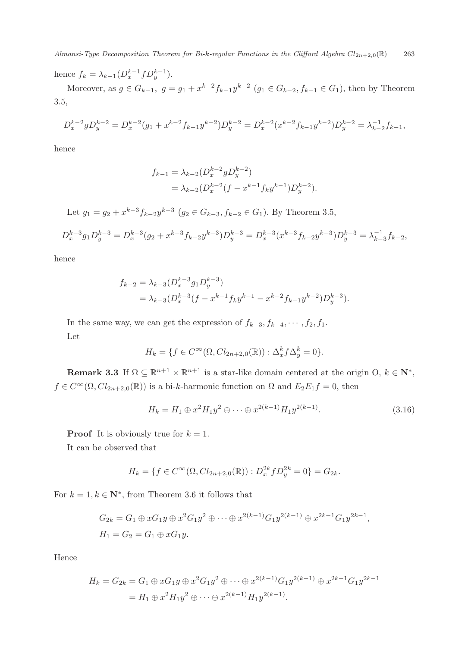Almansi-Type Decomposition Theorem for Bi-k-regular Functions in the Clifford Algebra  $Cl_{2n+2,0}(\mathbb{R})$  263

hence  $f_k = \lambda_{k-1} (D_x^{k-1} f D_y^{k-1}).$ 

Moreover, as  $g \in G_{k-1}$ ,  $g = g_1 + x^{k-2} f_{k-1} y^{k-2}$   $(g_1 \in G_{k-2}, f_{k-1} \in G_1)$ , then by Theorem 3.5,

$$
D_x^{k-2}gD_y^{k-2} = D_x^{k-2}(g_1 + x^{k-2}f_{k-1}y^{k-2})D_y^{k-2} = D_x^{k-2}(x^{k-2}f_{k-1}y^{k-2})D_y^{k-2} = \lambda_{k-2}^{-1}f_{k-1},
$$

hence

$$
f_{k-1} = \lambda_{k-2} (D_x^{k-2} g D_y^{k-2})
$$
  
=  $\lambda_{k-2} (D_x^{k-2} (f - x^{k-1} f_k y^{k-1}) D_y^{k-2}).$ 

Let  $g_1 = g_2 + x^{k-3}f_{k-2}y^{k-3}$   $(g_2 \in G_{k-3}, f_{k-2} \in G_1)$ . By Theorem 3.5,

$$
D_x^{k-3}g_1D_y^{k-3} = D_x^{k-3}(g_2 + x^{k-3}f_{k-2}y^{k-3})D_y^{k-3} = D_x^{k-3}(x^{k-3}f_{k-2}y^{k-3})D_y^{k-3} = \lambda_{k-3}^{-1}f_{k-2},
$$

hence

$$
f_{k-2} = \lambda_{k-3} (D_x^{k-3} g_1 D_y^{k-3})
$$
  
=  $\lambda_{k-3} (D_x^{k-3} (f - x^{k-1} f_k y^{k-1} - x^{k-2} f_{k-1} y^{k-2}) D_y^{k-3}).$ 

In the same way, we can get the expression of  $f_{k-3}, f_{k-4}, \cdots, f_2, f_1$ . Let

$$
H_k = \{ f \in C^{\infty}(\Omega, Cl_{2n+2,0}(\mathbb{R})) : \Delta_x^k f \Delta_y^k = 0 \}.
$$

**Remark 3.3** If  $\Omega \subseteq \mathbb{R}^{n+1} \times \mathbb{R}^{n+1}$  is a star-like domain centered at the origin O,  $k \in \mathbb{N}^*$ ,  $f \in C^{\infty}(\Omega, Cl_{2n+2,0}(\mathbb{R}))$  is a bi-k-harmonic function on  $\Omega$  and  $E_2E_1f = 0$ , then

$$
H_k = H_1 \oplus x^2 H_1 y^2 \oplus \dots \oplus x^{2(k-1)} H_1 y^{2(k-1)}.
$$
\n(3.16)

**Proof** It is obviously true for  $k = 1$ .

It can be observed that

$$
H_k = \{ f \in C^{\infty}(\Omega, Cl_{2n+2,0}(\mathbb{R})) : D_x^{2k} f D_y^{2k} = 0 \} = G_{2k}.
$$

For  $k = 1, k \in \mathbb{N}^*$ , from Theorem 3.6 it follows that

$$
G_{2k} = G_1 \oplus xG_1y \oplus x^2G_1y^2 \oplus \cdots \oplus x^{2(k-1)}G_1y^{2(k-1)} \oplus x^{2k-1}G_1y^{2k-1},
$$
  
\n
$$
H_1 = G_2 = G_1 \oplus xG_1y.
$$

Hence

$$
H_k = G_{2k} = G_1 \oplus xG_1y \oplus x^2G_1y^2 \oplus \cdots \oplus x^{2(k-1)}G_1y^{2(k-1)} \oplus x^{2k-1}G_1y^{2k-1}
$$
  
=  $H_1 \oplus x^2H_1y^2 \oplus \cdots \oplus x^{2(k-1)}H_1y^{2(k-1)}$ .